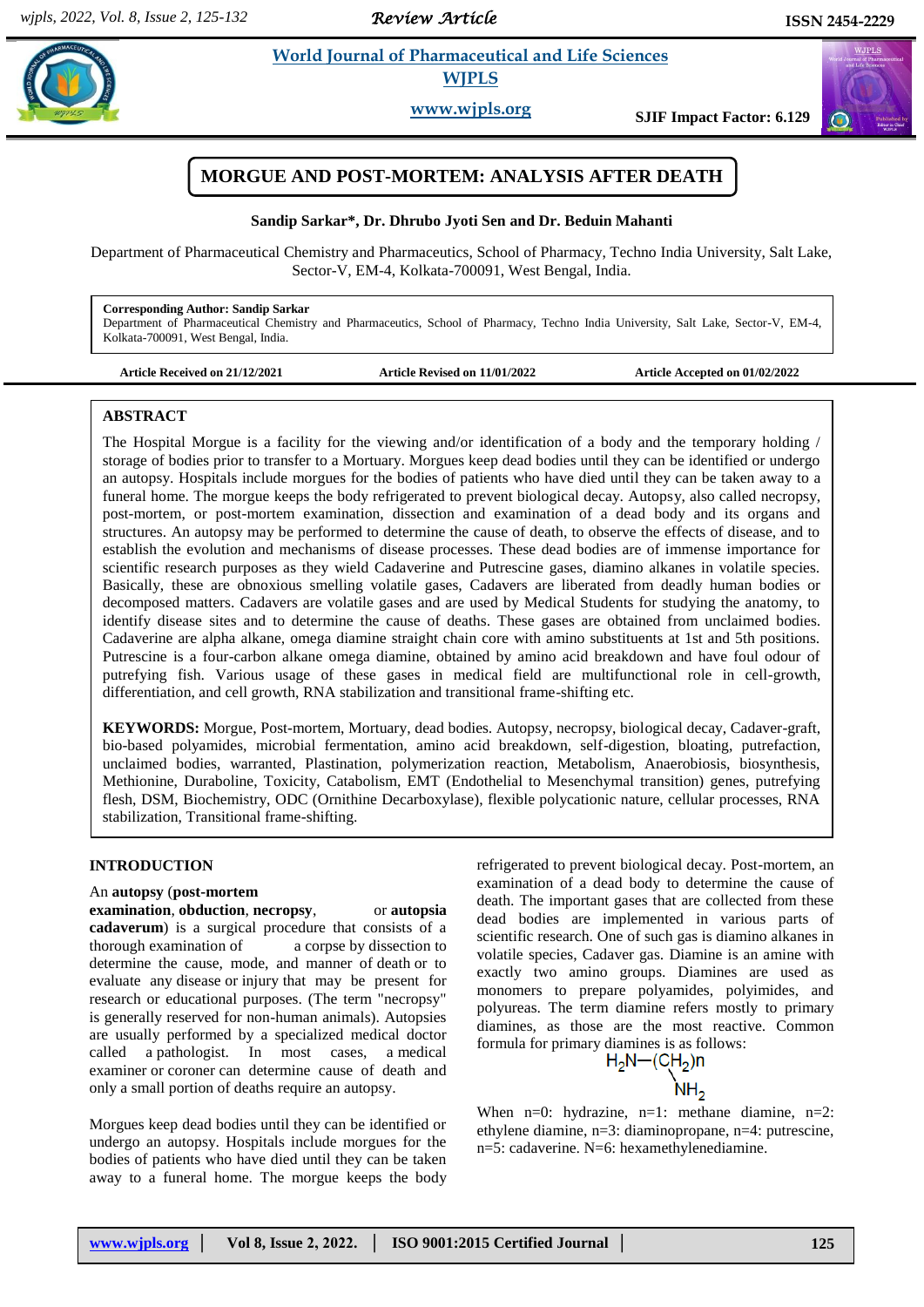*Review Article* 

 $(\omega)$ 

# **Example 3 Life Sciences WJPLS**

**www.wjpls.org SJIF Impact Factor: 6.129**

# **MORGUE AND POST-MORTEM: ANALYSIS AFTER DEATH**

### **Sandip Sarkar\*, Dr. Dhrubo Jyoti Sen and Dr. Beduin Mahanti**

Department of Pharmaceutical Chemistry and Pharmaceutics, School of Pharmacy, Techno India University, Salt Lake, Sector-V, EM-4, Kolkata-700091, West Bengal, India.

### **Corresponding Author: Sandip Sarkar**

Department of Pharmaceutical Chemistry and Pharmaceutics, School of Pharmacy, Techno India University, Salt Lake, Sector-V, EM-4, Kolkata-700091, West Bengal, India.

**Article Received on 21/12/2021 Article Revised on 11/01/2022 Article Accepted on 01/02/2022**

### **ABSTRACT**

The Hospital Morgue is a facility for the viewing and/or identification of a body and the temporary holding / storage of bodies prior to transfer to a Mortuary. Morgues keep dead bodies until they can be identified or undergo an autopsy. Hospitals include morgues for the bodies of patients who have died until they can be taken away to a funeral home. The morgue keeps the body refrigerated to prevent biological decay. Autopsy, also called necropsy, post-mortem, or post-mortem examination, dissection and examination of a dead body and its organs and structures. An autopsy may be performed to determine the cause of death, to observe the effects of disease, and to establish the evolution and mechanisms of disease processes. These dead bodies are of immense importance for scientific research purposes as they wield Cadaverine and Putrescine gases, diamino alkanes in volatile species. Basically, these are obnoxious smelling volatile gases, Cadavers are liberated from deadly human bodies or decomposed matters. Cadavers are volatile gases and are used by Medical Students for studying the anatomy, to identify disease sites and to determine the cause of deaths. These gases are obtained from unclaimed bodies. Cadaverine are alpha alkane, omega diamine straight chain core with amino substituents at 1st and 5th positions. Putrescine is a four-carbon alkane omega diamine, obtained by amino acid breakdown and have foul odour of putrefying fish. Various usage of these gases in medical field are multifunctional role in cell-growth, differentiation, and cell growth, RNA stabilization and transitional frame-shifting etc.

**KEYWORDS:** Morgue, Post-mortem, Mortuary, dead bodies. Autopsy, necropsy, biological decay, Cadaver-graft, bio-based polyamides, microbial fermentation, amino acid breakdown, self-digestion, bloating, putrefaction, unclaimed bodies, warranted, Plastination, polymerization reaction, Metabolism, Anaerobiosis, biosynthesis, Methionine, Duraboline, Toxicity, Catabolism, EMT (Endothelial to Mesenchymal transition) genes, putrefying flesh, DSM, Biochemistry, ODC (Ornithine Decarboxylase), flexible polycationic nature, cellular processes, RNA stabilization, Transitional frame-shifting.

## **INTRODUCTION**

### An **autopsy** (**post-mortem**

#### **examination**, **obduction**, **necropsy**, or **autopsia**

**cadaverum**) is a surgical procedure that consists of a thorough examination of a corpse by dissection to determine the cause, mode, and manner of death or to evaluate any disease or injury that may be present for research or educational purposes. (The term "necropsy" is generally reserved for non-human animals). Autopsies are usually performed by a specialized medical doctor called a pathologist. In most cases, a medical examiner or coroner can determine cause of death and only a small portion of deaths require an autopsy.

Morgues keep dead bodies until they can be identified or undergo an autopsy. Hospitals include morgues for the bodies of patients who have died until they can be taken away to a funeral home. The morgue keeps the body refrigerated to prevent biological decay. Post-mortem, an examination of a dead body to determine the cause of death. The important gases that are collected from these dead bodies are implemented in various parts of scientific research. One of such gas is diamino alkanes in volatile species, Cadaver gas. Diamine is an amine with exactly two amino groups. Diamines are used as monomers to prepare polyamides, polyimides, and polyureas. The term diamine refers mostly to primary diamines, as those are the most reactive. Common formula for primary diamines is as follows:

$$
H_2N - (CH_2)n
$$

When  $n=0$ : hydrazine,  $n=1$ : methane diamine,  $n=2$ : ethylene diamine, n=3: diaminopropane, n=4: putrescine, n=5: cadaverine. N=6: hexamethylenediamine.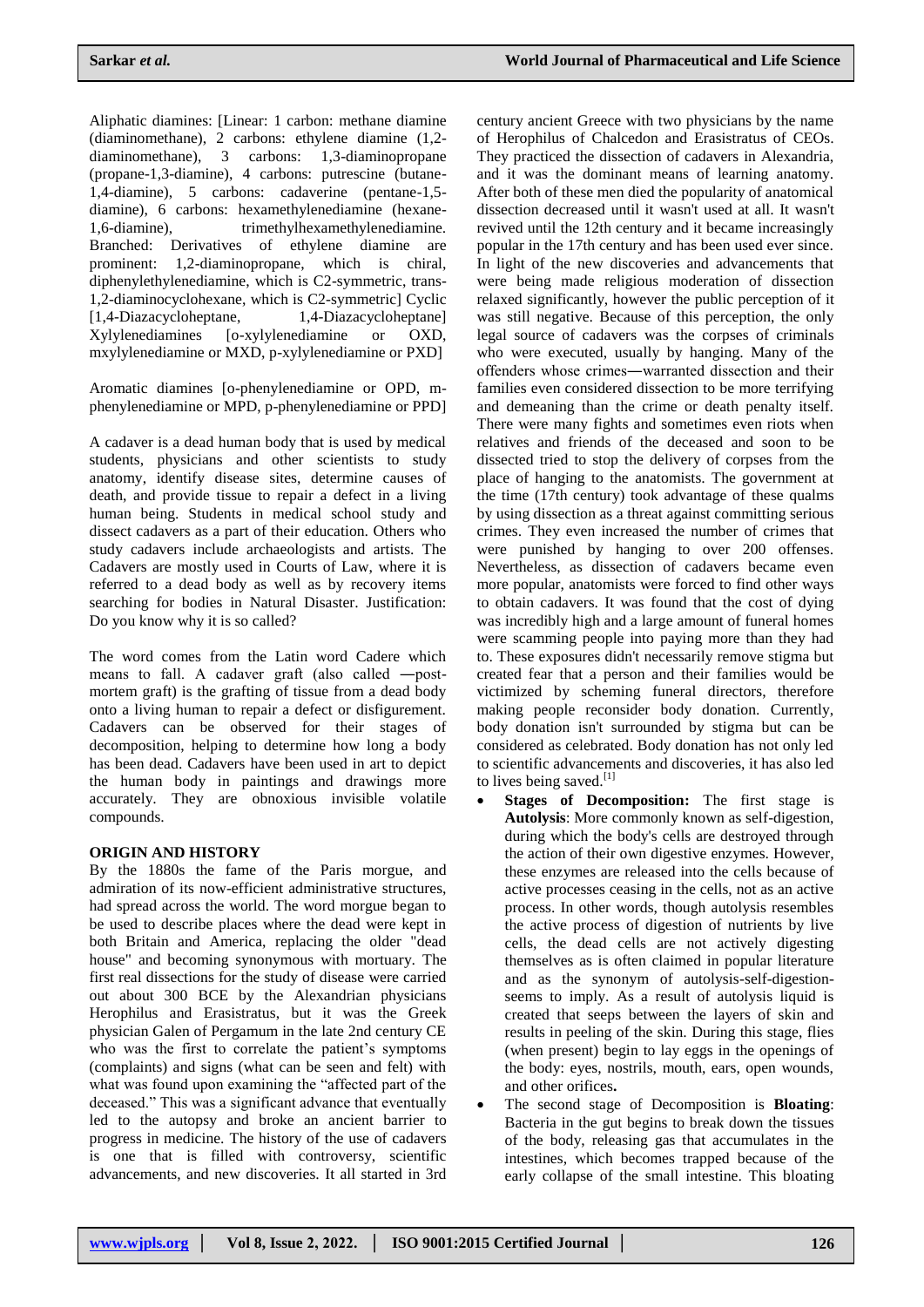Aliphatic diamines: [Linear: 1 carbon: methane diamine (diaminomethane), 2 carbons: ethylene diamine (1,2-<br>diaminomethane), 3 carbons: 1,3-diaminopropane diaminomethane), 3 carbons: (propane-1,3-diamine), 4 carbons: putrescine (butane-1,4-diamine), 5 carbons: cadaverine (pentane-1,5 diamine), 6 carbons: hexamethylenediamine (hexane-1,6-diamine), trimethylhexamethylenediamine. Branched: Derivatives of ethylene diamine are prominent: 1,2-diaminopropane, which is chiral, diphenylethylenediamine, which is C2-symmetric, trans-1,2-diaminocyclohexane, which is C2-symmetric] Cyclic [1,4-Diazacycloheptane, 1,4-Diazacycloheptane] Xylylenediamines [o-xylylenediamine or OXD, mxylylenediamine or MXD, p-xylylenediamine or PXD]

Aromatic diamines [o-phenylenediamine or OPD, mphenylenediamine or MPD, p-phenylenediamine or PPD]

A cadaver is a dead human body that is used by medical students, physicians and other scientists to study anatomy, identify disease sites, determine causes of death, and provide tissue to repair a defect in a living human being. Students in medical school study and dissect cadavers as a part of their education. Others who study cadavers include archaeologists and artists. The Cadavers are mostly used in Courts of Law, where it is referred to a dead body as well as by recovery items searching for bodies in Natural Disaster. Justification: Do you know why it is so called?

The word comes from the Latin word Cadere which means to fall. A cadaver graft (also called ―postmortem graft) is the grafting of tissue from a dead body onto a living human to repair a defect or disfigurement. Cadavers can be observed for their stages of decomposition, helping to determine how long a body has been dead. Cadavers have been used in art to depict the human body in paintings and drawings more accurately. They are obnoxious invisible volatile compounds.

### **ORIGIN AND HISTORY**

By the 1880s the fame of the Paris morgue, and admiration of its now-efficient administrative structures, had spread across the world. The word morgue began to be used to describe places where the dead were kept in both Britain and America, replacing the older "dead house" and becoming synonymous with mortuary. The first real dissections for the study of disease were carried out about 300 BCE by the Alexandrian physicians Herophilus and Erasistratus, but it was the Greek physician Galen of Pergamum in the late 2nd century CE who was the first to correlate the patient's symptoms (complaints) and signs (what can be seen and felt) with what was found upon examining the "affected part of the deceased." This was a significant advance that eventually led to the autopsy and broke an ancient barrier to progress in medicine. The history of the use of cadavers is one that is filled with controversy, scientific advancements, and new discoveries. It all started in 3rd

century ancient Greece with two physicians by the name of Herophilus of Chalcedon and Erasistratus of CEOs. They practiced the dissection of cadavers in Alexandria, and it was the dominant means of learning anatomy. After both of these men died the popularity of anatomical dissection decreased until it wasn't used at all. It wasn't revived until the 12th century and it became increasingly popular in the 17th century and has been used ever since. In light of the new discoveries and advancements that were being made religious moderation of dissection relaxed significantly, however the public perception of it was still negative. Because of this perception, the only legal source of cadavers was the corpses of criminals who were executed, usually by hanging. Many of the offenders whose crimes―warranted dissection and their families even considered dissection to be more terrifying and demeaning than the crime or death penalty itself. There were many fights and sometimes even riots when relatives and friends of the deceased and soon to be dissected tried to stop the delivery of corpses from the place of hanging to the anatomists. The government at the time (17th century) took advantage of these qualms by using dissection as a threat against committing serious crimes. They even increased the number of crimes that were punished by hanging to over 200 offenses. Nevertheless, as dissection of cadavers became even more popular, anatomists were forced to find other ways to obtain cadavers. It was found that the cost of dying was incredibly high and a large amount of funeral homes were scamming people into paying more than they had to. These exposures didn't necessarily remove stigma but created fear that a person and their families would be victimized by scheming funeral directors, therefore making people reconsider body donation. Currently, body donation isn't surrounded by stigma but can be considered as celebrated. Body donation has not only led to scientific advancements and discoveries, it has also led to lives being saved. $^{[1]}$ 

- **Stages of Decomposition:** The first stage is **Autolysis**: More commonly known as self-digestion, during which the body's cells are destroyed through the action of their own digestive enzymes. However, these enzymes are released into the cells because of active processes ceasing in the cells, not as an active process. In other words, though autolysis resembles the active process of digestion of nutrients by live cells, the dead cells are not actively digesting themselves as is often claimed in popular literature and as the synonym of autolysis-self-digestionseems to imply. As a result of autolysis liquid is created that seeps between the layers of skin and results in peeling of the skin. During this stage, flies (when present) begin to lay eggs in the openings of the body: eyes, nostrils, mouth, ears, open wounds, and other orifices**.**
- The second stage of Decomposition is **Bloating**: Bacteria in the gut begins to break down the tissues of the body, releasing gas that accumulates in the intestines, which becomes trapped because of the early collapse of the small intestine. This bloating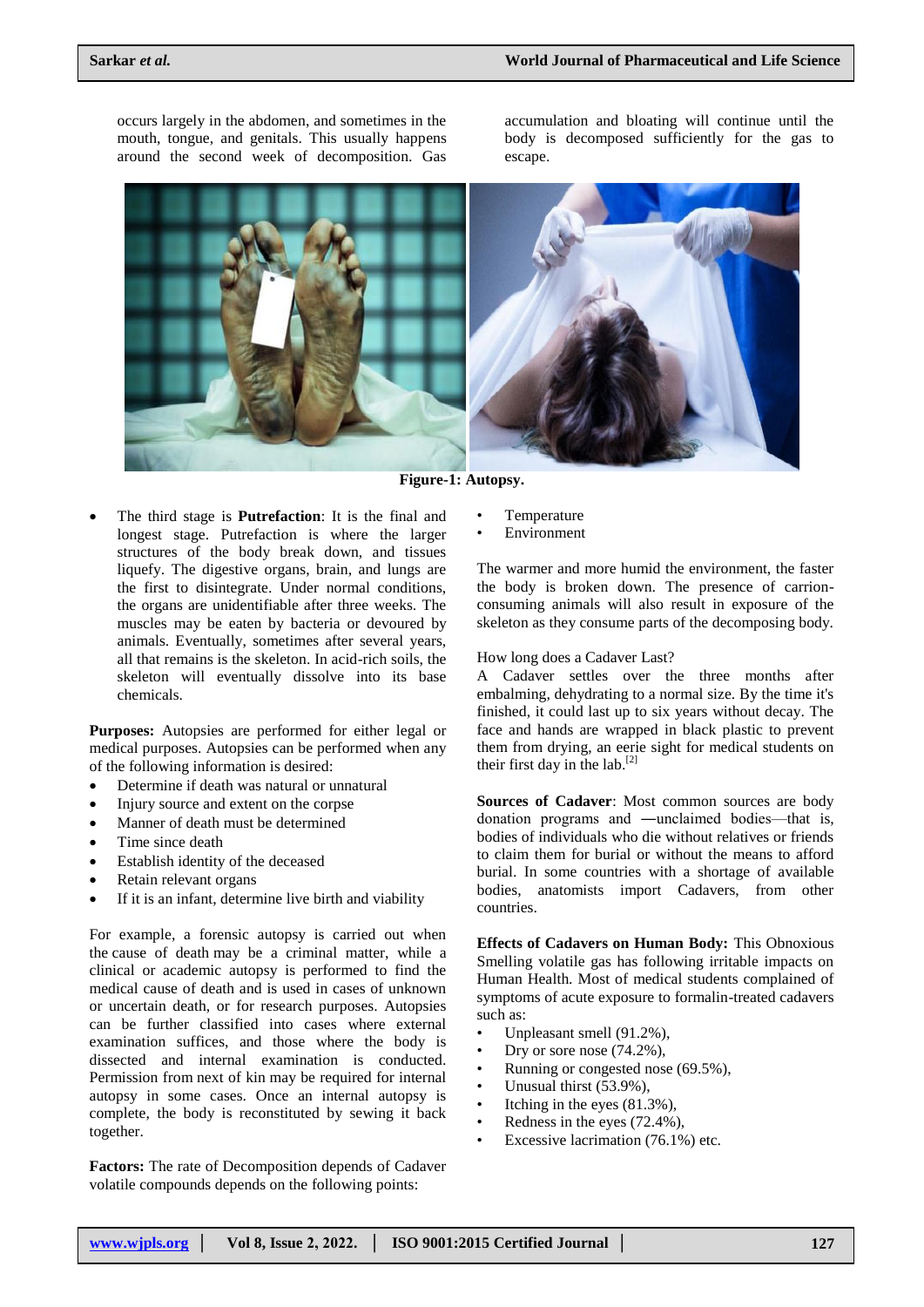occurs largely in the abdomen, and sometimes in the mouth, tongue, and genitals. This usually happens around the second week of decomposition. Gas

accumulation and bloating will continue until the body is decomposed sufficiently for the gas to escape.



**Figure-1: Autopsy.**

 The third stage is **Putrefaction**: It is the final and longest stage. Putrefaction is where the larger structures of the body break down, and tissues liquefy. The digestive organs, brain, and lungs are the first to disintegrate. Under normal conditions, the organs are unidentifiable after three weeks. The muscles may be eaten by bacteria or devoured by animals. Eventually, sometimes after several years, all that remains is the skeleton. In acid-rich soils, the skeleton will eventually dissolve into its base chemicals.

**Purposes:** Autopsies are performed for either legal or medical purposes. Autopsies can be performed when any of the following information is desired:

- Determine if death was natural or unnatural
- Injury source and extent on the corpse
- Manner of death must be determined
- Time since death
- Establish identity of the deceased
- Retain relevant organs
- If it is an infant, determine live birth and viability

For example, a forensic autopsy is carried out when the cause of death may be a criminal matter, while a clinical or academic autopsy is performed to find the medical cause of death and is used in cases of unknown or uncertain death, or for research purposes. Autopsies can be further classified into cases where external examination suffices, and those where the body is dissected and internal examination is conducted. Permission from next of kin may be required for internal autopsy in some cases. Once an internal autopsy is complete, the body is reconstituted by sewing it back together.

**Factors:** The rate of Decomposition depends of Cadaver volatile compounds depends on the following points:

- **Temperature**
- **Environment**

The warmer and more humid the environment, the faster the body is broken down. The presence of carrionconsuming animals will also result in exposure of the skeleton as they consume parts of the decomposing body.

### How long does a Cadaver Last?

A Cadaver settles over the three months after embalming, dehydrating to a normal size. By the time it's finished, it could last up to six years without decay. The face and hands are wrapped in black plastic to prevent them from drying, an eerie sight for medical students on their first day in the lab.<sup>[2]</sup>

**Sources of Cadaver**: Most common sources are body donation programs and ―unclaimed bodies—that is, bodies of individuals who die without relatives or friends to claim them for burial or without the means to afford burial. In some countries with a shortage of available bodies, anatomists import Cadavers, from other countries.

**Effects of Cadavers on Human Body:** This Obnoxious Smelling volatile gas has following irritable impacts on Human Health. Most of medical students complained of symptoms of acute exposure to formalin-treated cadavers such as:

- Unpleasant smell (91.2%).
- Dry or sore nose  $(74.2\%)$ ,
- Running or congested nose (69.5%),
- Unusual thirst (53.9%),
- Itching in the eyes  $(81.3\%)$ ,
- Redness in the eyes (72.4%),
- Excessive lacrimation (76.1%) etc.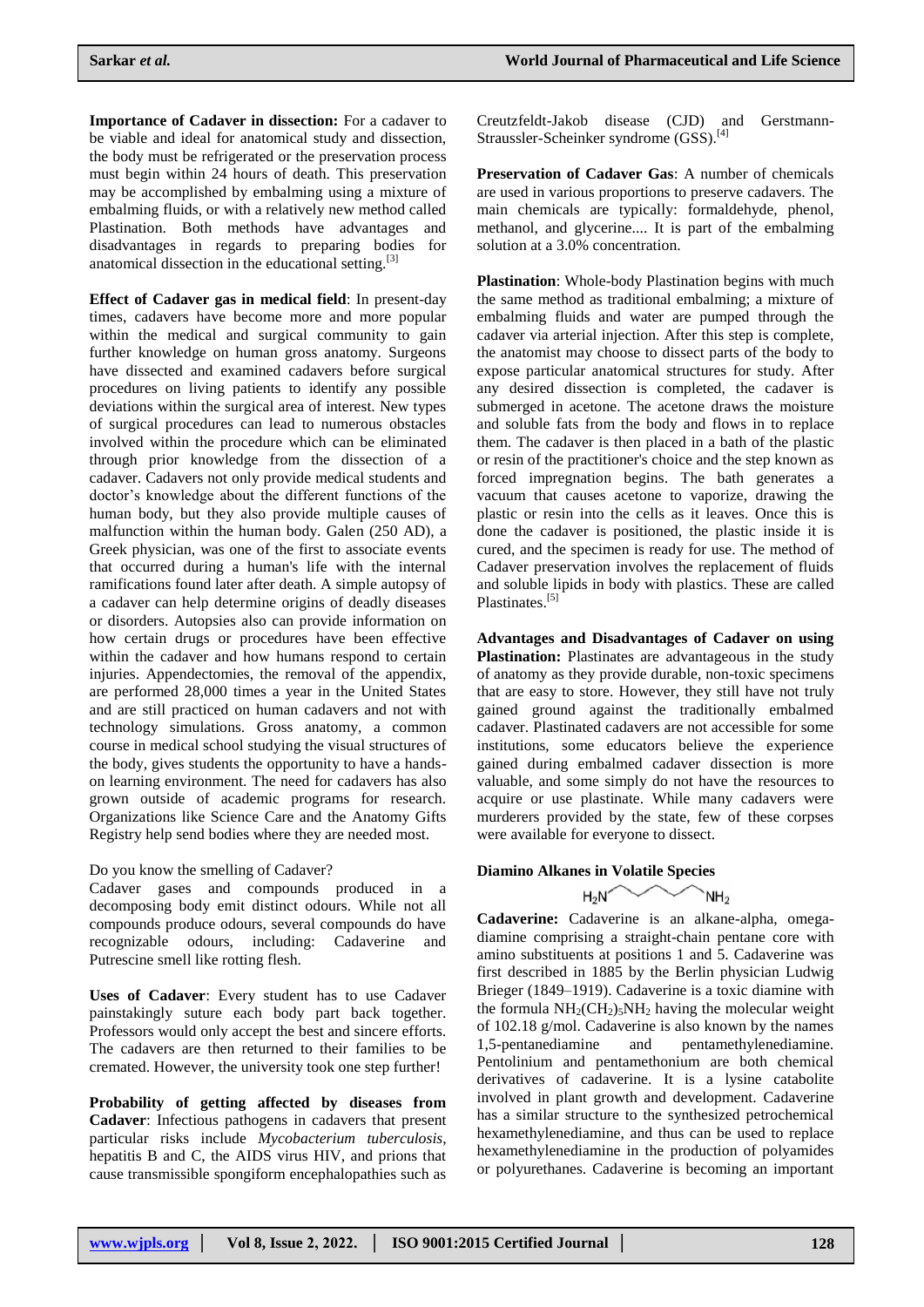**Importance of Cadaver in dissection:** For a cadaver to be viable and ideal for anatomical study and dissection, the body must be refrigerated or the preservation process must begin within 24 hours of death. This preservation may be accomplished by embalming using a mixture of embalming fluids, or with a relatively new method called Plastination. Both methods have advantages and disadvantages in regards to preparing bodies for anatomical dissection in the educational setting.<sup>[3]</sup>

**Effect of Cadaver gas in medical field**: In present-day times, cadavers have become more and more popular within the medical and surgical community to gain further knowledge on human gross anatomy. Surgeons have dissected and examined cadavers before surgical procedures on living patients to identify any possible deviations within the surgical area of interest. New types of surgical procedures can lead to numerous obstacles involved within the procedure which can be eliminated through prior knowledge from the dissection of a cadaver. Cadavers not only provide medical students and doctor's knowledge about the different functions of the human body, but they also provide multiple causes of malfunction within the human body. Galen (250 AD), a Greek physician, was one of the first to associate events that occurred during a human's life with the internal ramifications found later after death. A simple autopsy of a cadaver can help determine origins of deadly diseases or disorders. Autopsies also can provide information on how certain drugs or procedures have been effective within the cadaver and how humans respond to certain injuries. Appendectomies, the removal of the appendix, are performed 28,000 times a year in the United States and are still practiced on human cadavers and not with technology simulations. Gross anatomy, a common course in medical school studying the visual structures of the body, gives students the opportunity to have a handson learning environment. The need for cadavers has also grown outside of academic programs for research. Organizations like Science Care and the Anatomy Gifts Registry help send bodies where they are needed most.

#### Do you know the smelling of Cadaver?

Cadaver gases and compounds produced in a decomposing body emit distinct odours. While not all compounds produce odours, several compounds do have recognizable odours, including: Cadaverine and Putrescine smell like rotting flesh.

**Uses of Cadaver**: Every student has to use Cadaver painstakingly suture each body part back together. Professors would only accept the best and sincere efforts. The cadavers are then returned to their families to be cremated. However, the university took one step further!

**Probability of getting affected by diseases from Cadaver**: Infectious pathogens in cadavers that present particular risks include *Mycobacterium tuberculosis*, hepatitis B and C, the AIDS virus HIV, and prions that cause transmissible spongiform encephalopathies such as

Creutzfeldt-Jakob disease (CJD) and Gerstmann-Straussler-Scheinker syndrome (GSS).[4]

**Preservation of Cadaver Gas**: A number of chemicals are used in various proportions to preserve cadavers. The main chemicals are typically: formaldehyde, phenol, methanol, and glycerine.... It is part of the embalming solution at a 3.0% concentration.

**Plastination**: Whole-body Plastination begins with much the same method as traditional embalming; a mixture of embalming fluids and water are pumped through the cadaver via arterial injection. After this step is complete, the anatomist may choose to dissect parts of the body to expose particular anatomical structures for study. After any desired dissection is completed, the cadaver is submerged in acetone. The acetone draws the moisture and soluble fats from the body and flows in to replace them. The cadaver is then placed in a bath of the plastic or resin of the practitioner's choice and the step known as forced impregnation begins. The bath generates a vacuum that causes acetone to vaporize, drawing the plastic or resin into the cells as it leaves. Once this is done the cadaver is positioned, the plastic inside it is cured, and the specimen is ready for use. The method of Cadaver preservation involves the replacement of fluids and soluble lipids in body with plastics. These are called Plastinates.<sup>[5]</sup>

**Advantages and Disadvantages of Cadaver on using Plastination:** Plastinates are advantageous in the study of anatomy as they provide durable, non-toxic specimens that are easy to store. However, they still have not truly gained ground against the traditionally embalmed cadaver. Plastinated cadavers are not accessible for some institutions, some educators believe the experience gained during embalmed cadaver dissection is more valuable, and some simply do not have the resources to acquire or use plastinate. While many cadavers were murderers provided by the state, few of these corpses were available for everyone to dissect.

### **Diamino Alkanes in Volatile Species**

#### $H_2N$ `NH<sub>2</sub>

**Cadaverine:** Cadaverine is an alkane-alpha, omegadiamine comprising a straight-chain pentane core with amino substituents at positions 1 and 5. Cadaverine was first described in 1885 by the Berlin physician Ludwig Brieger (1849–1919). Cadaverine is a toxic diamine with the formula  $NH<sub>2</sub>(CH<sub>2</sub>)<sub>5</sub>NH<sub>2</sub>$  having the molecular weight of 102.18 g/mol. Cadaverine is also known by the names 1,5-pentanediamine and pentamethylenediamine. Pentolinium and pentamethonium are both chemical derivatives of cadaverine. It is a lysine catabolite involved in plant growth and development. Cadaverine has a similar structure to the synthesized petrochemical hexamethylenediamine, and thus can be used to replace hexamethylenediamine in the production of polyamides or polyurethanes. Cadaverine is becoming an important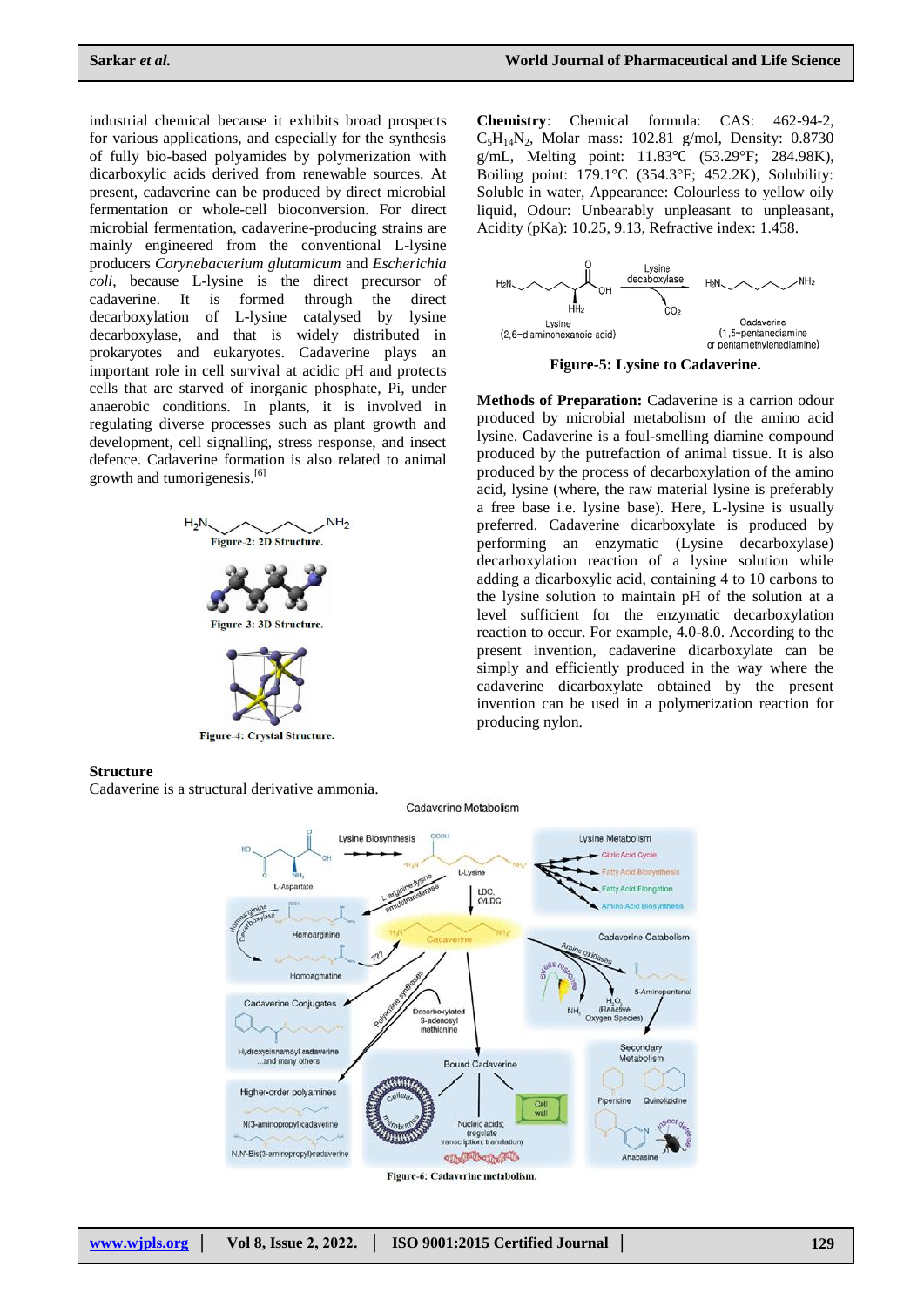industrial chemical because it exhibits broad prospects for various applications, and especially for the synthesis of fully bio-based polyamides by polymerization with dicarboxylic acids derived from renewable sources. At present, cadaverine can be produced by direct microbial fermentation or whole-cell bioconversion. For direct microbial fermentation, cadaverine-producing strains are mainly engineered from the conventional L-lysine producers *Corynebacterium glutamicum* and *Escherichia coli*, because L-lysine is the direct precursor of cadaverine. It is formed through the direct decarboxylation of L-lysine catalysed by lysine decarboxylase, and that is widely distributed in prokaryotes and eukaryotes. Cadaverine plays an important role in cell survival at acidic pH and protects cells that are starved of inorganic phosphate, Pi, under anaerobic conditions. In plants, it is involved in regulating diverse processes such as plant growth and development, cell signalling, stress response, and insect defence. Cadaverine formation is also related to animal growth and tumorigenesis.<sup>[6]</sup>



**Chemistry**: Chemical formula: CAS: 462-94-2,  $C_5H_{14}N_2$ , Molar mass: 102.81 g/mol, Density: 0.8730 g/mL, Melting point: 11.83℃ (53.29°F; 284.98K), Boiling point: 179.1°C (354.3°F; 452.2K), Solubility: Soluble in water, Appearance: Colourless to yellow oily liquid, Odour: Unbearably unpleasant to unpleasant, Acidity (pKa): 10.25, 9.13, Refractive index: 1.458.



**Figure-5: Lysine to Cadaverine.**

**Methods of Preparation:** Cadaverine is a carrion odour produced by microbial metabolism of the amino acid lysine. Cadaverine is a foul-smelling diamine compound produced by the putrefaction of animal tissue. It is also produced by the process of decarboxylation of the amino acid, lysine (where, the raw material lysine is preferably a free base i.e. lysine base). Here, L-lysine is usually preferred. Cadaverine dicarboxylate is produced by performing an enzymatic (Lysine decarboxylase) decarboxylation reaction of a lysine solution while adding a dicarboxylic acid, containing 4 to 10 carbons to the lysine solution to maintain pH of the solution at a level sufficient for the enzymatic decarboxylation reaction to occur. For example, 4.0-8.0. According to the present invention, cadaverine dicarboxylate can be simply and efficiently produced in the way where the cadaverine dicarboxylate obtained by the present invention can be used in a polymerization reaction for producing nylon.

# **Structure**

Cadaverine is a structural derivative ammonia.



Cadaverine Metabolism

Figure-6: Cadaverine metabolism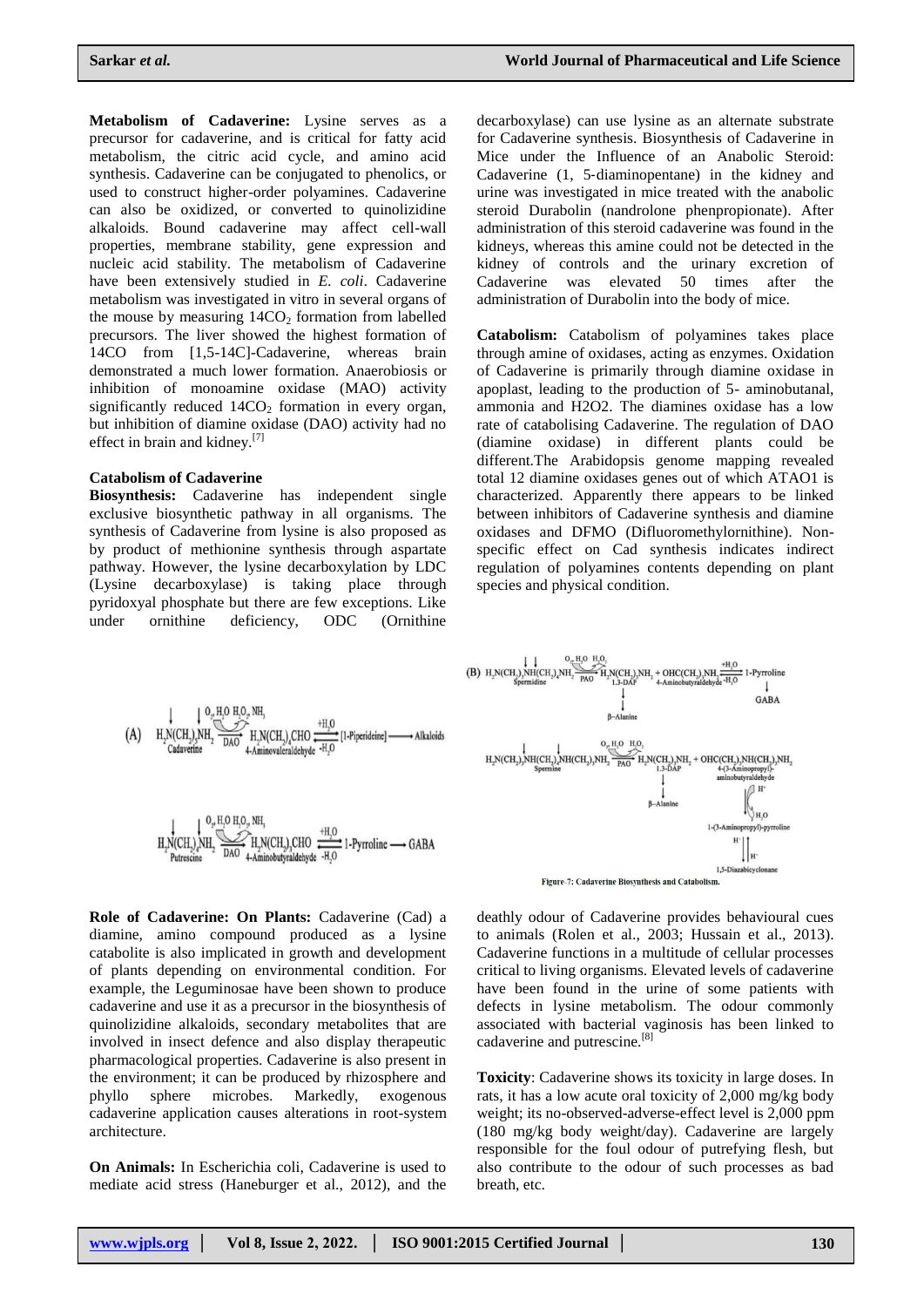**Metabolism of Cadaverine:** Lysine serves as a precursor for cadaverine, and is critical for fatty acid metabolism, the citric acid cycle, and amino acid synthesis. Cadaverine can be conjugated to phenolics, or used to construct higher-order polyamines. Cadaverine can also be oxidized, or converted to quinolizidine alkaloids. Bound cadaverine may affect cell-wall properties, membrane stability, gene expression and nucleic acid stability. The metabolism of Cadaverine have been extensively studied in *E. coli*. Cadaverine metabolism was investigated in vitro in several organs of the mouse by measuring  $14CO<sub>2</sub>$  formation from labelled precursors. The liver showed the highest formation of 14CO from [1,5-14C]-Cadaverine, whereas brain demonstrated a much lower formation. Anaerobiosis or inhibition of monoamine oxidase (MAO) activity significantly reduced  $14CO<sub>2</sub>$  formation in every organ, but inhibition of diamine oxidase (DAO) activity had no effect in brain and kidney.<sup>[7]</sup>

#### **Catabolism of Cadaverine**

**Biosynthesis:** Cadaverine has independent single exclusive biosynthetic pathway in all organisms. The synthesis of Cadaverine from lysine is also proposed as by product of methionine synthesis through aspartate pathway. However, the lysine decarboxylation by LDC (Lysine decarboxylase) is taking place through pyridoxyal phosphate but there are few exceptions. Like under ornithine deficiency, ODC (Ornithine

decarboxylase) can use lysine as an alternate substrate for Cadaverine synthesis. Biosynthesis of Cadaverine in Mice under the Influence of an Anabolic Steroid: Cadaverine (1, 5‐diaminopentane) in the kidney and urine was investigated in mice treated with the anabolic steroid Durabolin (nandrolone phenpropionate). After administration of this steroid cadaverine was found in the kidneys, whereas this amine could not be detected in the kidney of controls and the urinary excretion of Cadaverine was elevated 50 times after the administration of Durabolin into the body of mice.

**Catabolism:** Catabolism of polyamines takes place through amine of oxidases, acting as enzymes. Oxidation of Cadaverine is primarily through diamine oxidase in apoplast, leading to the production of 5- aminobutanal, ammonia and H2O2. The diamines oxidase has a low rate of catabolising Cadaverine. The regulation of DAO (diamine oxidase) in different plants could be different.The Arabidopsis genome mapping revealed total 12 diamine oxidases genes out of which ATAO1 is characterized. Apparently there appears to be linked between inhibitors of Cadaverine synthesis and diamine oxidases and DFMO (Difluoromethylornithine). Nonspecific effect on Cad synthesis indicates indirect regulation of polyamines contents depending on plant species and physical condition.



$$
\underset{\substack{\text{Putescine} \\ \text{Putescine}}} {\underset{\text{Putescine}}{\bigcup}} \underset{\substack{\text{N.H.0}}{\bigcirc} \text{H.10 H.0}_{\nu} \text{N}}{\underset{\text{PLN}}{\bigcirc} \text{H.10 H.0}_{\nu}} \text{N.H.}, \quad \underset{\text{H.10}}{\underbrace{\text{H.10}} \text{CH.10}} \xrightarrow{\text{H.10}} \underset{\text{H.11}}{\underbrace{\text{H.10}} \text{H.10}} \text{1-Pyrroline} \longrightarrow \text{GABA}
$$

**Role of Cadaverine: On Plants:** Cadaverine (Cad) a diamine, amino compound produced as a lysine catabolite is also implicated in growth and development of plants depending on environmental condition. For example, the Leguminosae have been shown to produce cadaverine and use it as a precursor in the biosynthesis of quinolizidine alkaloids, secondary metabolites that are involved in insect defence and also display therapeutic pharmacological properties. Cadaverine is also present in the environment; it can be produced by rhizosphere and phyllo sphere microbes. Markedly, exogenous cadaverine application causes alterations in root-system architecture.

**On Animals:** In Escherichia coli, Cadaverine is used to mediate acid stress (Haneburger et al., 2012), and the



Figure-7: Cadaverine Biosynthesis and Catabolism.

deathly odour of Cadaverine provides behavioural cues to animals (Rolen et al., 2003; Hussain et al., 2013). Cadaverine functions in a multitude of cellular processes critical to living organisms. Elevated levels of cadaverine have been found in the urine of some patients with defects in lysine metabolism. The odour commonly associated with bacterial vaginosis has been linked to cadaverine and putrescine.[8]

**Toxicity**: Cadaverine shows its toxicity in large doses. In rats, it has a low acute oral toxicity of 2,000 mg/kg body weight; its no-observed-adverse-effect level is 2,000 ppm (180 mg/kg body weight/day). Cadaverine are largely responsible for the foul odour of putrefying flesh, but also contribute to the odour of such processes as bad breath, etc.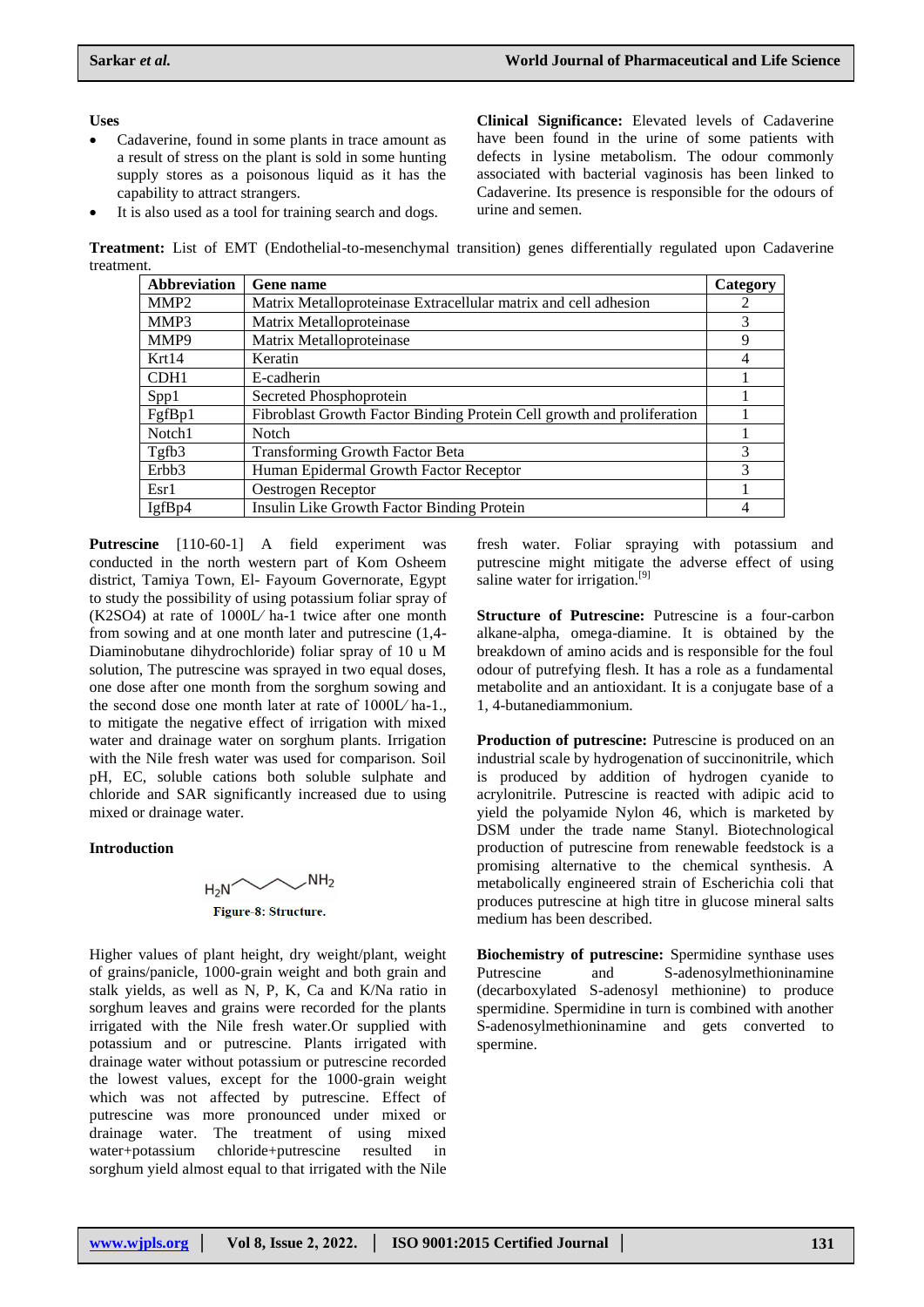### **Uses**

- Cadaverine, found in some plants in trace amount as a result of stress on the plant is sold in some hunting supply stores as a poisonous liquid as it has the capability to attract strangers.
- It is also used as a tool for training search and dogs.

**Clinical Significance:** Elevated levels of Cadaverine have been found in the urine of some patients with defects in lysine metabolism. The odour commonly associated with bacterial vaginosis has been linked to Cadaverine. Its presence is responsible for the odours of urine and semen.

**Treatment:** List of EMT (Endothelial-to-mesenchymal transition) genes differentially regulated upon Cadaverine treatment.

| <b>Abbreviation</b> | <b>Gene</b> name                                                       | Category |
|---------------------|------------------------------------------------------------------------|----------|
| MMP <sub>2</sub>    | Matrix Metalloproteinase Extracellular matrix and cell adhesion        |          |
| MMP3                | Matrix Metalloproteinase                                               | 3        |
| MMP9                | Matrix Metalloproteinase                                               | 9        |
| Krt14               | Keratin                                                                | 4        |
| CDH <sub>1</sub>    | E-cadherin                                                             |          |
| Spp1                | Secreted Phosphoprotein                                                |          |
| FgfBp1              | Fibroblast Growth Factor Binding Protein Cell growth and proliferation |          |
| Notch1              | <b>Notch</b>                                                           |          |
| Tgfb3               | <b>Transforming Growth Factor Beta</b>                                 | 3        |
| Erbb <sub>3</sub>   | Human Epidermal Growth Factor Receptor                                 | 3        |
| Esr1                | Oestrogen Receptor                                                     |          |
| IgfBp4              | Insulin Like Growth Factor Binding Protein                             |          |

**Putrescine** [110-60-1] A field experiment was conducted in the north western part of Kom Osheem district, Tamiya Town, El- Fayoum Governorate, Egypt to study the possibility of using potassium foliar spray of (K2SO4) at rate of 1000L⁄ ha-1 twice after one month from sowing and at one month later and putrescine (1,4- Diaminobutane dihydrochloride) foliar spray of 10 u M solution, The putrescine was sprayed in two equal doses, one dose after one month from the sorghum sowing and the second dose one month later at rate of 1000L⁄ ha-1., to mitigate the negative effect of irrigation with mixed water and drainage water on sorghum plants. Irrigation with the Nile fresh water was used for comparison. Soil pH, EC, soluble cations both soluble sulphate and chloride and SAR significantly increased due to using mixed or drainage water.

### **Introduction**



Higher values of plant height, dry weight/plant, weight of grains/panicle, 1000-grain weight and both grain and stalk yields, as well as N, P, K, Ca and K/Na ratio in sorghum leaves and grains were recorded for the plants irrigated with the Nile fresh water.Or supplied with potassium and or putrescine. Plants irrigated with drainage water without potassium or putrescine recorded the lowest values, except for the 1000-grain weight which was not affected by putrescine. Effect of putrescine was more pronounced under mixed or drainage water. The treatment of using mixed water+potassium chloride+putrescine resulted in sorghum yield almost equal to that irrigated with the Nile

fresh water. Foliar spraying with potassium and putrescine might mitigate the adverse effect of using saline water for irrigation.<sup>[9]</sup>

**Structure of Putrescine:** Putrescine is a four-carbon alkane-alpha, omega-diamine. It is obtained by the breakdown of amino acids and is responsible for the foul odour of putrefying flesh. It has a role as a fundamental metabolite and an antioxidant. It is a conjugate base of a 1, 4-butanediammonium.

**Production of putrescine:** Putrescine is produced on an industrial scale by hydrogenation of succinonitrile, which is produced by addition of hydrogen cyanide to acrylonitrile. Putrescine is reacted with adipic acid to yield the polyamide Nylon 46, which is marketed by DSM under the trade name Stanyl. Biotechnological production of putrescine from renewable feedstock is a promising alternative to the chemical synthesis. A metabolically engineered strain of Escherichia coli that produces putrescine at high titre in glucose mineral salts medium has been described.

**Biochemistry of putrescine:** Spermidine synthase uses Putrescine and S-adenosylmethioninamine (decarboxylated S-adenosyl methionine) to produce spermidine. Spermidine in turn is combined with another S-adenosylmethioninamine and gets converted to spermine.